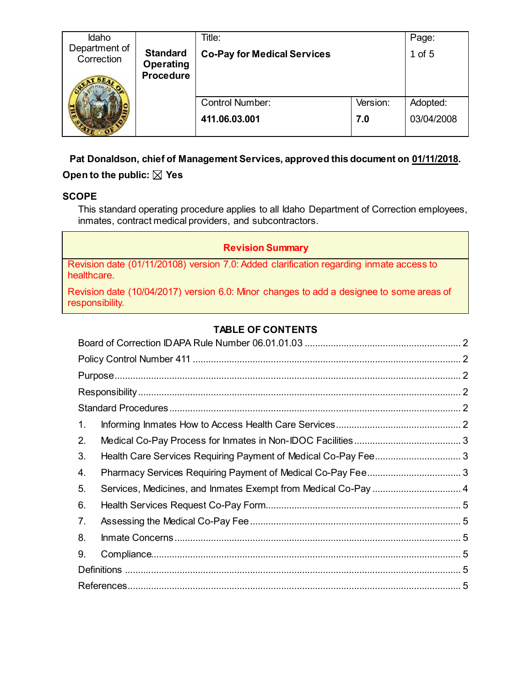| Idaho                       |                               | Title:                             |          | Page:      |
|-----------------------------|-------------------------------|------------------------------------|----------|------------|
| Department of<br>Correction | <b>Standard</b>               | <b>Co-Pay for Medical Services</b> |          | 1 of 5     |
|                             | Operating<br><b>Procedure</b> |                                    |          |            |
|                             |                               |                                    |          |            |
|                             |                               |                                    |          |            |
|                             |                               | <b>Control Number:</b>             | Version: | Adopted:   |
|                             |                               | 411.06.03.001                      | 7.0      | 03/04/2008 |
|                             |                               |                                    |          |            |

## **Pat Donaldson, chief of Management Services, approved this document on 01/11/2018.**

# Open to the public:  $\boxtimes$  Yes

## **SCOPE**

This standard operating procedure applies to all Idaho Department of Correction employees, inmates, contract medical providers, and subcontractors.

## **Revision Summary**

Revision date (01/11/20108) version 7.0: Added clarification regarding inmate access to healthcare.

Revision date (10/04/2017) version 6.0: Minor changes to add a designee to some areas of responsibility.

# **TABLE OF CONTENTS**

| 1. |                                                                |  |
|----|----------------------------------------------------------------|--|
| 2. |                                                                |  |
| 3. |                                                                |  |
| 4. |                                                                |  |
| 5. | Services, Medicines, and Inmates Exempt from Medical Co-Pay  4 |  |
| 6. |                                                                |  |
| 7. |                                                                |  |
| 8. |                                                                |  |
| 9. |                                                                |  |
|    |                                                                |  |
|    |                                                                |  |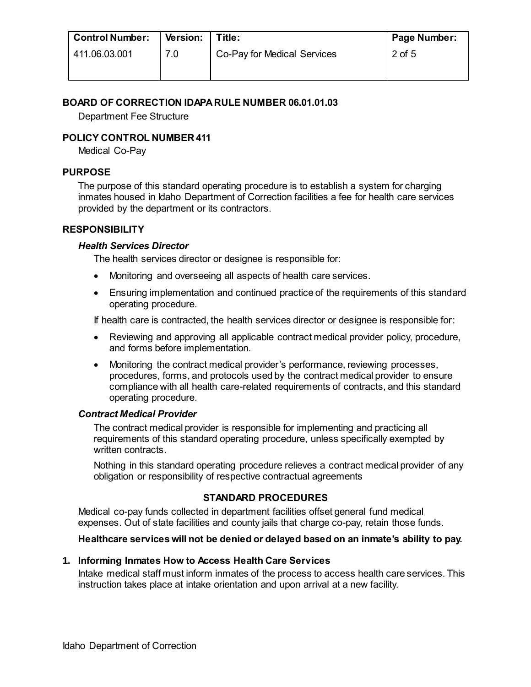| <b>Control Number:</b> | <b>Version:</b> | Title:                      | Page Number: |
|------------------------|-----------------|-----------------------------|--------------|
| 411.06.03.001          | 7.0             | Co-Pay for Medical Services | 2 of 5       |
|                        |                 |                             |              |

### <span id="page-1-0"></span>**BOARD OF CORRECTION IDAPA RULE NUMBER 06.01.01.03**

Department Fee Structure

### <span id="page-1-1"></span>**POLICY CONTROL NUMBER 411**

Medical Co-Pay

#### <span id="page-1-2"></span>**PURPOSE**

The purpose of this standard operating procedure is to establish a system for charging inmates housed in Idaho Department of Correction facilities a fee for health care services provided by the department or its contractors.

#### <span id="page-1-3"></span>**RESPONSIBILITY**

#### *Health Services Director*

The health services director or designee is responsible for:

- Monitoring and overseeing all aspects of health care services.
- Ensuring implementation and continued practice of the requirements of this standard operating procedure.

If health care is contracted, the health services director or designee is responsible for:

- Reviewing and approving all applicable contract medical provider policy, procedure, and forms before implementation.
- Monitoring the contract medical provider's performance, reviewing processes, procedures, forms, and protocols used by the contract medical provider to ensure compliance with all health care-related requirements of contracts, and this standard operating procedure.

### *Contract Medical Provider*

The contract medical provider is responsible for implementing and practicing all requirements of this standard operating procedure, unless specifically exempted by written contracts.

Nothing in this standard operating procedure relieves a contract medical provider of any obligation or responsibility of respective contractual agreements

### **STANDARD PROCEDURES**

<span id="page-1-4"></span>Medical co-pay funds collected in department facilities offset general fund medical expenses. Out of state facilities and county jails that charge co-pay, retain those funds.

### **Healthcare services will not be denied or delayed based on an inmate's ability to pay.**

### <span id="page-1-5"></span>**1. Informing Inmates How to Access Health Care Services**

Intake medical staff must inform inmates of the process to access health care services. This instruction takes place at intake orientation and upon arrival at a new facility.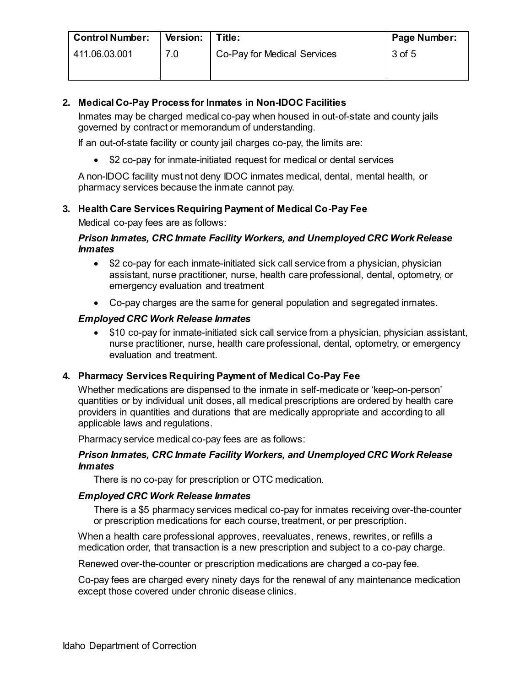| <b>Control Number:</b> | Version: | Title:                      | Page Number: |
|------------------------|----------|-----------------------------|--------------|
| 411.06.03.001          | 7.0      | Co-Pay for Medical Services | 3 of 5       |
|                        |          |                             |              |

### <span id="page-2-0"></span>**2. Medical Co-Pay Process for Inmates in Non-IDOC Facilities**

Inmates may be charged medical co-pay when housed in out-of-state and county jails governed by contract or memorandum of understanding.

If an out-of-state facility or county jail charges co-pay, the limits are:

• \$2 co-pay for inmate-initiated request for medical or dental services

A non-IDOC facility must not deny IDOC inmates medical, dental, mental health, or pharmacy services because the inmate cannot pay.

### <span id="page-2-1"></span>**3. Health Care Services Requiring Payment of Medical Co-Pay Fee**

Medical co-pay fees are as follows:

### *Prison Inmates, CRC Inmate Facility Workers, and Unemployed CRC Work Release Inmates*

- \$2 co-pay for each inmate-initiated sick call service from a physician, physician assistant, nurse practitioner, nurse, health care professional, dental, optometry, or emergency evaluation and treatment
- Co-pay charges are the same for general population and segregated inmates.

### *Employed CRC Work Release Inmates*

• \$10 co-pay for inmate-initiated sick call service from a physician, physician assistant, nurse practitioner, nurse, health care professional, dental, optometry, or emergency evaluation and treatment.

### <span id="page-2-2"></span>**4. Pharmacy Services Requiring Payment of Medical Co-Pay Fee**

Whether medications are dispensed to the inmate in self-medicate or 'keep-on-person' quantities or by individual unit doses, all medical prescriptions are ordered by health care providers in quantities and durations that are medically appropriate and according to all applicable laws and regulations.

Pharmacy service medical co-pay fees are as follows:

#### *Prison Inmates, CRC Inmate Facility Workers, and Unemployed CRC Work Release Inmates*

There is no co-pay for prescription or OTC medication.

### *Employed CRC Work Release Inmates*

There is a \$5 pharmacy services medical co-pay for inmates receiving over-the-counter or prescription medications for each course, treatment, or per prescription.

When a health care professional approves, reevaluates, renews, rewrites, or refills a medication order, that transaction is a new prescription and subject to a co-pay charge.

Renewed over-the-counter or prescription medications are charged a co-pay fee.

Co-pay fees are charged every ninety days for the renewal of any maintenance medication except those covered under chronic disease clinics.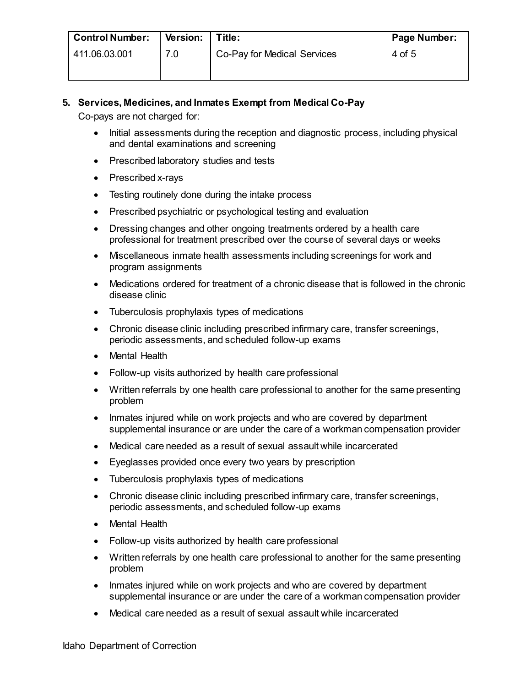| <b>Control Number:</b> | <b>Version:</b> | Title:                      | Page Number: |
|------------------------|-----------------|-----------------------------|--------------|
| 411.06.03.001          | 7.0             | Co-Pay for Medical Services | 4 of 5       |
|                        |                 |                             |              |

## <span id="page-3-0"></span>**5. Services, Medicines, and Inmates Exempt from Medical Co-Pay**

Co-pays are not charged for:

- Initial assessments during the reception and diagnostic process, including physical and dental examinations and screening
- Prescribed laboratory studies and tests
- Prescribed x-rays
- Testing routinely done during the intake process
- Prescribed psychiatric or psychological testing and evaluation
- Dressing changes and other ongoing treatments ordered by a health care professional for treatment prescribed over the course of several days or weeks
- Miscellaneous inmate health assessments including screenings for work and program assignments
- Medications ordered for treatment of a chronic disease that is followed in the chronic disease clinic
- Tuberculosis prophylaxis types of medications
- Chronic disease clinic including prescribed infirmary care, transfer screenings, periodic assessments, and scheduled follow-up exams
- Mental Health
- Follow-up visits authorized by health care professional
- Written referrals by one health care professional to another for the same presenting problem
- Inmates injured while on work projects and who are covered by department supplemental insurance or are under the care of a workman compensation provider
- Medical care needed as a result of sexual assault while incarcerated
- Eyeglasses provided once every two years by prescription
- Tuberculosis prophylaxis types of medications
- Chronic disease clinic including prescribed infirmary care, transfer screenings, periodic assessments, and scheduled follow-up exams
- Mental Health
- Follow-up visits authorized by health care professional
- Written referrals by one health care professional to another for the same presenting problem
- Inmates injured while on work projects and who are covered by department supplemental insurance or are under the care of a workman compensation provider
- Medical care needed as a result of sexual assault while incarcerated